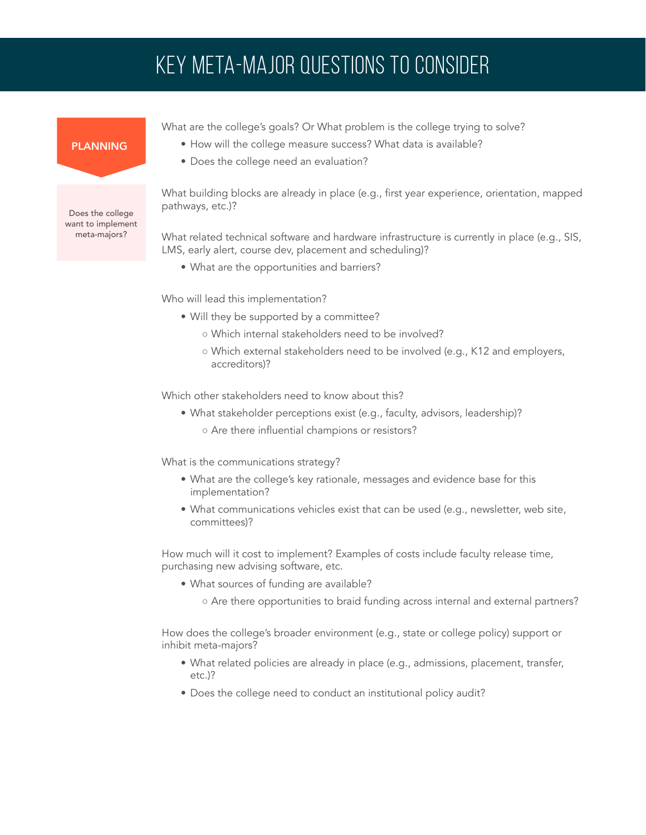# KEY META-MAJOR QUESTIONS TO CONSIDER

What are the college's goals? Or What problem is the college trying to solve? • How will the college measure success? What data is available?

## PLANNING

• Does the college need an evaluation?

What building blocks are already in place (e.g., first year experience, orientation, mapped pathways, etc.)?

What related technical software and hardware infrastructure is currently in place (e.g., SIS, LMS, early alert, course dev, placement and scheduling)?

• What are the opportunities and barriers?

Who will lead this implementation?

- Will they be supported by a committee?
	- Which internal stakeholders need to be involved?
	- Which external stakeholders need to be involved (e.g., K12 and employers, accreditors)?

Which other stakeholders need to know about this?

- What stakeholder perceptions exist (e.g., faculty, advisors, leadership)?
	- Are there influential champions or resistors?

What is the communications strategy?

- What are the college's key rationale, messages and evidence base for this implementation?
- What communications vehicles exist that can be used (e.g., newsletter, web site, committees)?

How much will it cost to implement? Examples of costs include faculty release time, purchasing new advising software, etc.

- What sources of funding are available?
	- Are there opportunities to braid funding across internal and external partners?

How does the college's broader environment (e.g., state or college policy) support or inhibit meta-majors?

- What related policies are already in place (e.g., admissions, placement, transfer, etc.)?
- Does the college need to conduct an institutional policy audit?

Does the college want to implement meta-majors?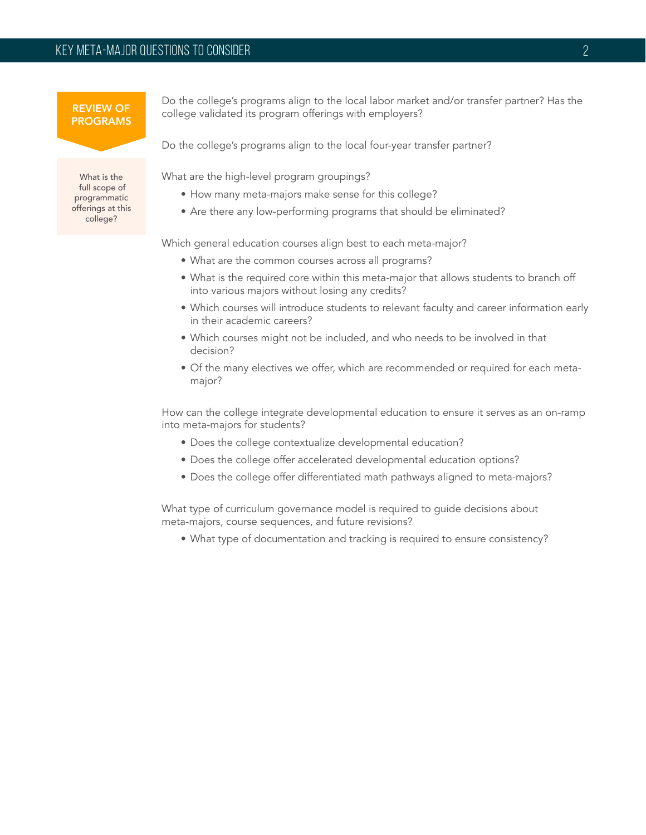### REVIEW OF PROGRAMS

What is the full scope of programmatic offerings at this college?

Do the college's programs align to the local labor market and/or transfer partner? Has the college validated its program offerings with employers?

Do the college's programs align to the local four-year transfer partner?

What are the high-level program groupings?

- How many meta-majors make sense for this college?
- Are there any low-performing programs that should be eliminated?

Which general education courses align best to each meta-major?

- What are the common courses across all programs?
- What is the required core within this meta-major that allows students to branch off into various majors without losing any credits?
- Which courses will introduce students to relevant faculty and career information early in their academic careers?
- Which courses might not be included, and who needs to be involved in that decision?
- Of the many electives we offer, which are recommended or required for each metamajor?

How can the college integrate developmental education to ensure it serves as an on-ramp into meta-majors for students?

- Does the college contextualize developmental education?
- Does the college offer accelerated developmental education options?
- Does the college offer differentiated math pathways aligned to meta-majors?

What type of curriculum governance model is required to guide decisions about meta-majors, course sequences, and future revisions?

• What type of documentation and tracking is required to ensure consistency?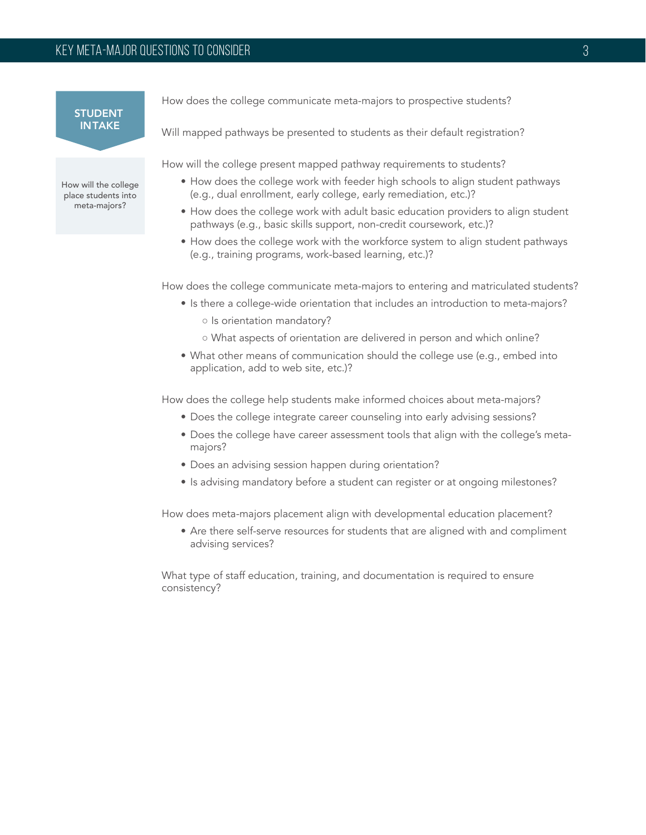**STUDENT** INTAKE

How will the college place students into meta-majors?

How does the college communicate meta-majors to prospective students?

Will mapped pathways be presented to students as their default registration?

How will the college present mapped pathway requirements to students?

- How does the college work with feeder high schools to align student pathways (e.g., dual enrollment, early college, early remediation, etc.)?
- How does the college work with adult basic education providers to align student pathways (e.g., basic skills support, non-credit coursework, etc.)?
- How does the college work with the workforce system to align student pathways (e.g., training programs, work-based learning, etc.)?

How does the college communicate meta-majors to entering and matriculated students?

- Is there a college-wide orientation that includes an introduction to meta-majors? o Is orientation mandatory?
	- What aspects of orientation are delivered in person and which online?
- What other means of communication should the college use (e.g., embed into application, add to web site, etc.)?

How does the college help students make informed choices about meta-majors?

- Does the college integrate career counseling into early advising sessions?
- Does the college have career assessment tools that align with the college's metamajors?
- Does an advising session happen during orientation?
- Is advising mandatory before a student can register or at ongoing milestones?

How does meta-majors placement align with developmental education placement?

• Are there self-serve resources for students that are aligned with and compliment advising services?

What type of staff education, training, and documentation is required to ensure consistency?